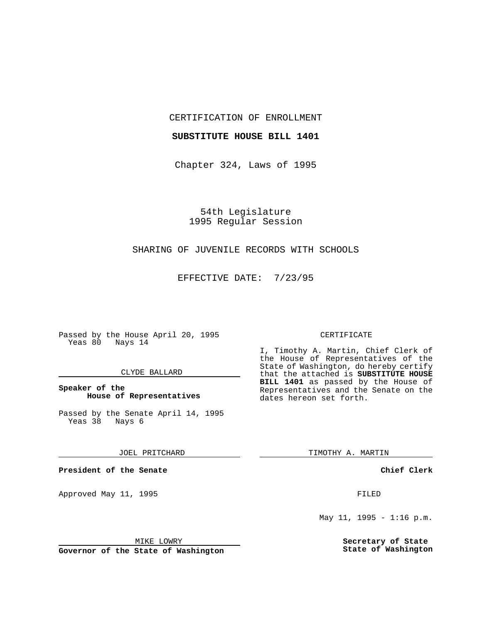CERTIFICATION OF ENROLLMENT

#### **SUBSTITUTE HOUSE BILL 1401**

Chapter 324, Laws of 1995

54th Legislature 1995 Regular Session

## SHARING OF JUVENILE RECORDS WITH SCHOOLS

EFFECTIVE DATE: 7/23/95

Passed by the House April 20, 1995 Yeas 80 Nays 14

### CLYDE BALLARD

## **Speaker of the House of Representatives**

Passed by the Senate April 14, 1995<br>Yeas 38 Nays 6 Yeas 38

JOEL PRITCHARD

**President of the Senate**

Approved May 11, 1995 FILED

MIKE LOWRY

**Governor of the State of Washington**

#### CERTIFICATE

I, Timothy A. Martin, Chief Clerk of the House of Representatives of the State of Washington, do hereby certify that the attached is **SUBSTITUTE HOUSE BILL 1401** as passed by the House of Representatives and the Senate on the dates hereon set forth.

TIMOTHY A. MARTIN

**Chief Clerk**

May 11, 1995 -  $1:16$  p.m.

**Secretary of State State of Washington**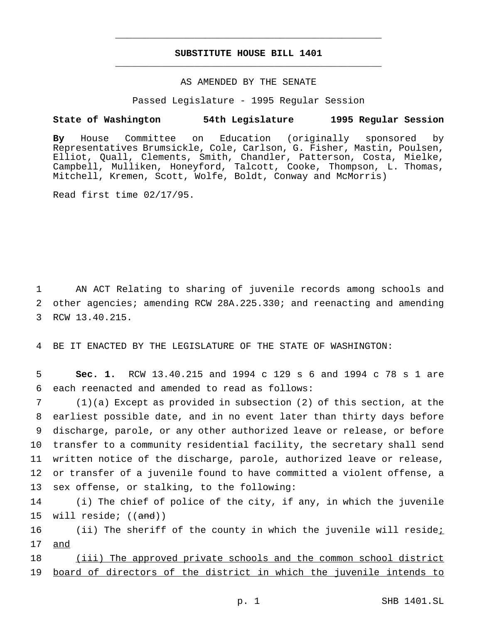# **SUBSTITUTE HOUSE BILL 1401** \_\_\_\_\_\_\_\_\_\_\_\_\_\_\_\_\_\_\_\_\_\_\_\_\_\_\_\_\_\_\_\_\_\_\_\_\_\_\_\_\_\_\_\_\_\_\_

\_\_\_\_\_\_\_\_\_\_\_\_\_\_\_\_\_\_\_\_\_\_\_\_\_\_\_\_\_\_\_\_\_\_\_\_\_\_\_\_\_\_\_\_\_\_\_

## AS AMENDED BY THE SENATE

Passed Legislature - 1995 Regular Session

#### **State of Washington 54th Legislature 1995 Regular Session**

**By** House Committee on Education (originally sponsored by Representatives Brumsickle, Cole, Carlson, G. Fisher, Mastin, Poulsen, Elliot, Quall, Clements, Smith, Chandler, Patterson, Costa, Mielke, Campbell, Mulliken, Honeyford, Talcott, Cooke, Thompson, L. Thomas, Mitchell, Kremen, Scott, Wolfe, Boldt, Conway and McMorris)

Read first time 02/17/95.

1 AN ACT Relating to sharing of juvenile records among schools and 2 other agencies; amending RCW 28A.225.330; and reenacting and amending 3 RCW 13.40.215.

4 BE IT ENACTED BY THE LEGISLATURE OF THE STATE OF WASHINGTON:

5 **Sec. 1.** RCW 13.40.215 and 1994 c 129 s 6 and 1994 c 78 s 1 are 6 each reenacted and amended to read as follows:

 (1)(a) Except as provided in subsection (2) of this section, at the earliest possible date, and in no event later than thirty days before discharge, parole, or any other authorized leave or release, or before transfer to a community residential facility, the secretary shall send written notice of the discharge, parole, authorized leave or release, or transfer of a juvenile found to have committed a violent offense, a sex offense, or stalking, to the following:

14 (i) The chief of police of the city, if any, in which the juvenile 15 will reside; ((and))

16 (ii) The sheriff of the county in which the juvenile will reside; 17 and

18 (iii) The approved private schools and the common school district 19 board of directors of the district in which the juvenile intends to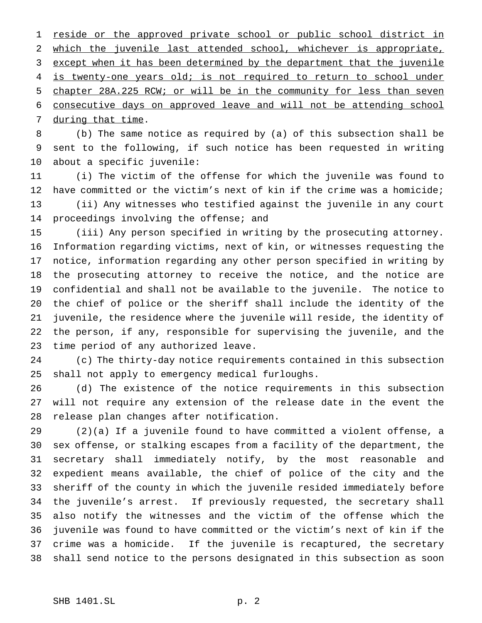1 reside or the approved private school or public school district in which the juvenile last attended school, whichever is appropriate, 3 except when it has been determined by the department that the juvenile 4 is twenty-one years old; is not required to return to school under chapter 28A.225 RCW; or will be in the community for less than seven consecutive days on approved leave and will not be attending school 7 during that time.

 (b) The same notice as required by (a) of this subsection shall be sent to the following, if such notice has been requested in writing about a specific juvenile:

 (i) The victim of the offense for which the juvenile was found to have committed or the victim's next of kin if the crime was a homicide; (ii) Any witnesses who testified against the juvenile in any court proceedings involving the offense; and

 (iii) Any person specified in writing by the prosecuting attorney. Information regarding victims, next of kin, or witnesses requesting the notice, information regarding any other person specified in writing by the prosecuting attorney to receive the notice, and the notice are confidential and shall not be available to the juvenile. The notice to the chief of police or the sheriff shall include the identity of the juvenile, the residence where the juvenile will reside, the identity of the person, if any, responsible for supervising the juvenile, and the time period of any authorized leave.

 (c) The thirty-day notice requirements contained in this subsection shall not apply to emergency medical furloughs.

 (d) The existence of the notice requirements in this subsection will not require any extension of the release date in the event the release plan changes after notification.

 (2)(a) If a juvenile found to have committed a violent offense, a sex offense, or stalking escapes from a facility of the department, the secretary shall immediately notify, by the most reasonable and expedient means available, the chief of police of the city and the sheriff of the county in which the juvenile resided immediately before the juvenile's arrest. If previously requested, the secretary shall also notify the witnesses and the victim of the offense which the juvenile was found to have committed or the victim's next of kin if the crime was a homicide. If the juvenile is recaptured, the secretary shall send notice to the persons designated in this subsection as soon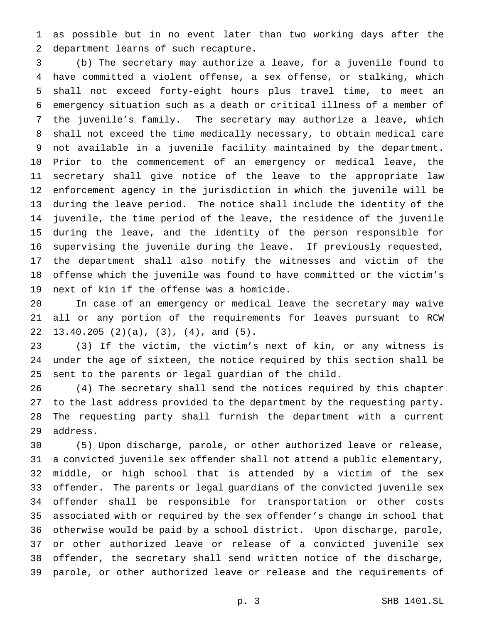as possible but in no event later than two working days after the department learns of such recapture.

 (b) The secretary may authorize a leave, for a juvenile found to have committed a violent offense, a sex offense, or stalking, which shall not exceed forty-eight hours plus travel time, to meet an emergency situation such as a death or critical illness of a member of the juvenile's family. The secretary may authorize a leave, which shall not exceed the time medically necessary, to obtain medical care not available in a juvenile facility maintained by the department. Prior to the commencement of an emergency or medical leave, the secretary shall give notice of the leave to the appropriate law enforcement agency in the jurisdiction in which the juvenile will be during the leave period. The notice shall include the identity of the juvenile, the time period of the leave, the residence of the juvenile during the leave, and the identity of the person responsible for supervising the juvenile during the leave. If previously requested, the department shall also notify the witnesses and victim of the offense which the juvenile was found to have committed or the victim's next of kin if the offense was a homicide.

 In case of an emergency or medical leave the secretary may waive all or any portion of the requirements for leaves pursuant to RCW 13.40.205 (2)(a), (3), (4), and (5).

 (3) If the victim, the victim's next of kin, or any witness is under the age of sixteen, the notice required by this section shall be sent to the parents or legal guardian of the child.

 (4) The secretary shall send the notices required by this chapter to the last address provided to the department by the requesting party. The requesting party shall furnish the department with a current address.

 (5) Upon discharge, parole, or other authorized leave or release, a convicted juvenile sex offender shall not attend a public elementary, middle, or high school that is attended by a victim of the sex offender. The parents or legal guardians of the convicted juvenile sex offender shall be responsible for transportation or other costs associated with or required by the sex offender's change in school that otherwise would be paid by a school district. Upon discharge, parole, or other authorized leave or release of a convicted juvenile sex offender, the secretary shall send written notice of the discharge, parole, or other authorized leave or release and the requirements of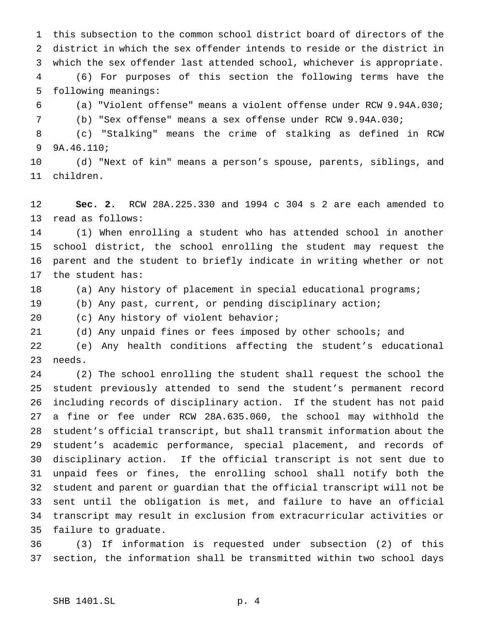this subsection to the common school district board of directors of the district in which the sex offender intends to reside or the district in which the sex offender last attended school, whichever is appropriate. (6) For purposes of this section the following terms have the following meanings:

(a) "Violent offense" means a violent offense under RCW 9.94A.030;

(b) "Sex offense" means a sex offense under RCW 9.94A.030;

 (c) "Stalking" means the crime of stalking as defined in RCW 9A.46.110;

 (d) "Next of kin" means a person's spouse, parents, siblings, and children.

 **Sec. 2.** RCW 28A.225.330 and 1994 c 304 s 2 are each amended to read as follows:

 (1) When enrolling a student who has attended school in another school district, the school enrolling the student may request the parent and the student to briefly indicate in writing whether or not the student has:

(a) Any history of placement in special educational programs;

(b) Any past, current, or pending disciplinary action;

(c) Any history of violent behavior;

(d) Any unpaid fines or fees imposed by other schools; and

 (e) Any health conditions affecting the student's educational needs.

 (2) The school enrolling the student shall request the school the student previously attended to send the student's permanent record including records of disciplinary action. If the student has not paid a fine or fee under RCW 28A.635.060, the school may withhold the student's official transcript, but shall transmit information about the student's academic performance, special placement, and records of disciplinary action. If the official transcript is not sent due to unpaid fees or fines, the enrolling school shall notify both the student and parent or guardian that the official transcript will not be sent until the obligation is met, and failure to have an official transcript may result in exclusion from extracurricular activities or failure to graduate.

 (3) If information is requested under subsection (2) of this section, the information shall be transmitted within two school days